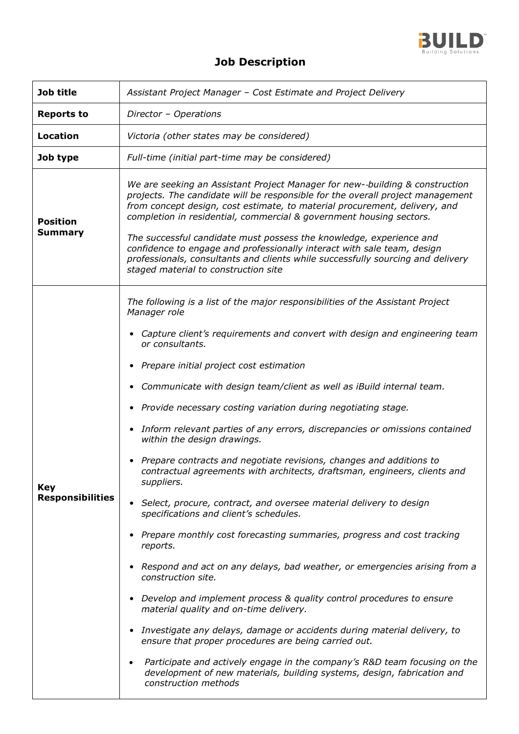

## **Job Description**

| Job title                             | Assistant Project Manager - Cost Estimate and Project Delivery                                                                                                                                                                                                                                                                                                                                                                                                                                                                                                                                                                                                                                                                                                                                                                                                                                                                                                                                                                                                                                                                                                                                                                                                                                                                                                                                                                                                                                                                            |
|---------------------------------------|-------------------------------------------------------------------------------------------------------------------------------------------------------------------------------------------------------------------------------------------------------------------------------------------------------------------------------------------------------------------------------------------------------------------------------------------------------------------------------------------------------------------------------------------------------------------------------------------------------------------------------------------------------------------------------------------------------------------------------------------------------------------------------------------------------------------------------------------------------------------------------------------------------------------------------------------------------------------------------------------------------------------------------------------------------------------------------------------------------------------------------------------------------------------------------------------------------------------------------------------------------------------------------------------------------------------------------------------------------------------------------------------------------------------------------------------------------------------------------------------------------------------------------------------|
| <b>Reports to</b>                     | Director - Operations                                                                                                                                                                                                                                                                                                                                                                                                                                                                                                                                                                                                                                                                                                                                                                                                                                                                                                                                                                                                                                                                                                                                                                                                                                                                                                                                                                                                                                                                                                                     |
| <b>Location</b>                       | Victoria (other states may be considered)                                                                                                                                                                                                                                                                                                                                                                                                                                                                                                                                                                                                                                                                                                                                                                                                                                                                                                                                                                                                                                                                                                                                                                                                                                                                                                                                                                                                                                                                                                 |
| Job type                              | Full-time (initial part-time may be considered)                                                                                                                                                                                                                                                                                                                                                                                                                                                                                                                                                                                                                                                                                                                                                                                                                                                                                                                                                                                                                                                                                                                                                                                                                                                                                                                                                                                                                                                                                           |
| <b>Position</b><br><b>Summary</b>     | We are seeking an Assistant Project Manager for new--building & construction<br>projects. The candidate will be responsible for the overall project management<br>from concept design, cost estimate, to material procurement, delivery, and<br>completion in residential, commercial & government housing sectors.<br>The successful candidate must possess the knowledge, experience and<br>confidence to engage and professionally interact with sale team, design<br>professionals, consultants and clients while successfully sourcing and delivery<br>staged material to construction site                                                                                                                                                                                                                                                                                                                                                                                                                                                                                                                                                                                                                                                                                                                                                                                                                                                                                                                                          |
| <b>Key</b><br><b>Responsibilities</b> | The following is a list of the major responsibilities of the Assistant Project<br>Manager role<br>Capture client's requirements and convert with design and engineering team<br>$\bullet$<br>or consultants.<br>Prepare initial project cost estimation<br>$\bullet$<br>Communicate with design team/client as well as iBuild internal team.<br>$\bullet$<br>Provide necessary costing variation during negotiating stage.<br>$\bullet$<br>Inform relevant parties of any errors, discrepancies or omissions contained<br>$\bullet$<br>within the design drawings.<br>Prepare contracts and negotiate revisions, changes and additions to<br>contractual agreements with architects, draftsman, engineers, clients and<br>suppliers.<br>Select, procure, contract, and oversee material delivery to design<br>$\bullet$<br>specifications and client's schedules.<br>Prepare monthly cost forecasting summaries, progress and cost tracking<br>reports.<br>Respond and act on any delays, bad weather, or emergencies arising from a<br>$\bullet$<br>construction site.<br>• Develop and implement process & quality control procedures to ensure<br>material quality and on-time delivery.<br>Investigate any delays, damage or accidents during material delivery, to<br>$\bullet$<br>ensure that proper procedures are being carried out.<br>Participate and actively engage in the company's R&D team focusing on the<br>$\bullet$<br>development of new materials, building systems, design, fabrication and<br>construction methods |